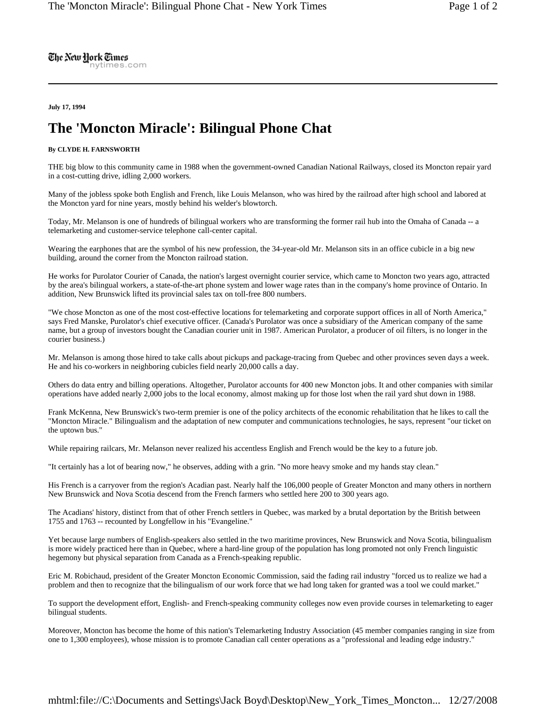The New Hork Times nytimes.com

**July 17, 1994** 

## **The 'Moncton Miracle': Bilingual Phone Chat**

## **By CLYDE H. FARNSWORTH**

THE big blow to this community came in 1988 when the government-owned Canadian National Railways, closed its Moncton repair yard in a cost-cutting drive, idling 2,000 workers.

Many of the jobless spoke both English and French, like Louis Melanson, who was hired by the railroad after high school and labored at the Moncton yard for nine years, mostly behind his welder's blowtorch.

Today, Mr. Melanson is one of hundreds of bilingual workers who are transforming the former rail hub into the Omaha of Canada -- a telemarketing and customer-service telephone call-center capital.

Wearing the earphones that are the symbol of his new profession, the 34-year-old Mr. Melanson sits in an office cubicle in a big new building, around the corner from the Moncton railroad station.

He works for Purolator Courier of Canada, the nation's largest overnight courier service, which came to Moncton two years ago, attracted by the area's bilingual workers, a state-of-the-art phone system and lower wage rates than in the company's home province of Ontario. In addition, New Brunswick lifted its provincial sales tax on toll-free 800 numbers.

"We chose Moncton as one of the most cost-effective locations for telemarketing and corporate support offices in all of North America," says Fred Manske, Purolator's chief executive officer. (Canada's Purolator was once a subsidiary of the American company of the same name, but a group of investors bought the Canadian courier unit in 1987. American Purolator, a producer of oil filters, is no longer in the courier business.)

Mr. Melanson is among those hired to take calls about pickups and package-tracing from Quebec and other provinces seven days a week. He and his co-workers in neighboring cubicles field nearly 20,000 calls a day.

Others do data entry and billing operations. Altogether, Purolator accounts for 400 new Moncton jobs. It and other companies with similar operations have added nearly 2,000 jobs to the local economy, almost making up for those lost when the rail yard shut down in 1988.

Frank McKenna, New Brunswick's two-term premier is one of the policy architects of the economic rehabilitation that he likes to call the "Moncton Miracle." Bilingualism and the adaptation of new computer and communications technologies, he says, represent "our ticket on the uptown bus."

While repairing railcars, Mr. Melanson never realized his accentless English and French would be the key to a future job.

"It certainly has a lot of bearing now," he observes, adding with a grin. "No more heavy smoke and my hands stay clean."

His French is a carryover from the region's Acadian past. Nearly half the 106,000 people of Greater Moncton and many others in northern New Brunswick and Nova Scotia descend from the French farmers who settled here 200 to 300 years ago.

The Acadians' history, distinct from that of other French settlers in Quebec, was marked by a brutal deportation by the British between 1755 and 1763 -- recounted by Longfellow in his "Evangeline."

Yet because large numbers of English-speakers also settled in the two maritime provinces, New Brunswick and Nova Scotia, bilingualism is more widely practiced here than in Quebec, where a hard-line group of the population has long promoted not only French linguistic hegemony but physical separation from Canada as a French-speaking republic.

Eric M. Robichaud, president of the Greater Moncton Economic Commission, said the fading rail industry "forced us to realize we had a problem and then to recognize that the bilingualism of our work force that we had long taken for granted was a tool we could market."

To support the development effort, English- and French-speaking community colleges now even provide courses in telemarketing to eager bilingual students.

Moreover, Moncton has become the home of this nation's Telemarketing Industry Association (45 member companies ranging in size from one to 1,300 employees), whose mission is to promote Canadian call center operations as a "professional and leading edge industry."